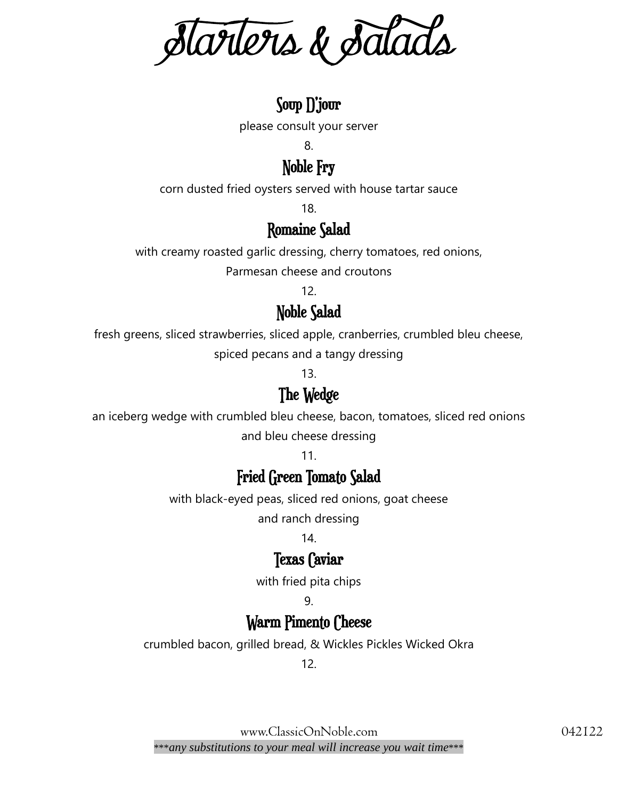Starters & Salads

## Soup D'jour

please consult your server

8.

Noble Fry

corn dusted fried oysters served with house tartar sauce

18.

#### Romaine Salad

with creamy roasted garlic dressing, cherry tomatoes, red onions,

Parmesan cheese and croutons

12.

#### Noble Salad

fresh greens, sliced strawberries, sliced apple, cranberries, crumbled bleu cheese,

spiced pecans and a tangy dressing

13.

#### The Wedge

an iceberg wedge with crumbled bleu cheese, bacon, tomatoes, sliced red onions and bleu cheese dressing

11.

#### Fried Green Tomato Salad

with black-eyed peas, sliced red onions, goat cheese

and ranch dressing

14.

#### Texas Caviar

with fried pita chips

#### 9.

#### Warm Pimento Cheese

crumbled bacon, grilled bread, & Wickles Pickles Wicked Okra

12.